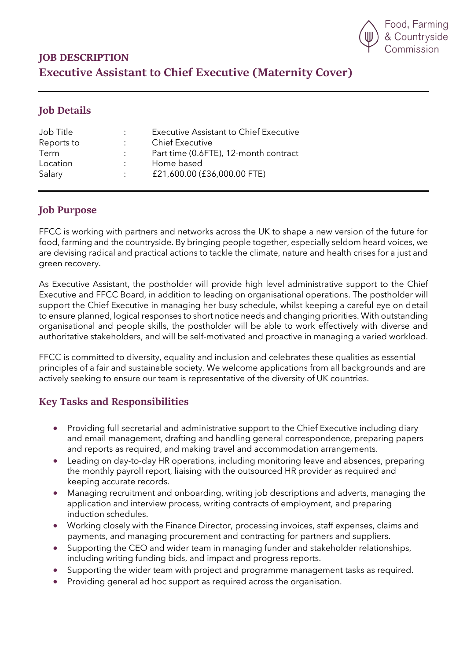

# **JOB DESCRIPTION Executive Assistant to Chief Executive (Maternity Cover)**

### **Job Details**

| Job Title  | $\mathbb{R}^{\mathbb{Z}}$ | <b>Executive Assistant to Chief Executive</b> |
|------------|---------------------------|-----------------------------------------------|
| Reports to |                           | <b>Chief Executive</b>                        |
| Term       |                           | Part time (0.6FTE), 12-month contract         |
| Location   | $\mathcal{L}$             | Home based                                    |
| Salary     | $\mathcal{L}$             | £21,600.00 (£36,000.00 FTE)                   |

### **Job Purpose**

FFCC is working with partners and networks across the UK to shape a new version of the future for food, farming and the countryside. By bringing people together, especially seldom heard voices, we are devising radical and practical actions to tackle the climate, nature and health crises for a just and green recovery.

As Executive Assistant, the postholder will provide high level administrative support to the Chief Executive and FFCC Board, in addition to leading on organisational operations. The postholder will support the Chief Executive in managing her busy schedule, whilst keeping a careful eye on detail to ensure planned, logical responses to short notice needs and changing priorities. With outstanding organisational and people skills, the postholder will be able to work effectively with diverse and authoritative stakeholders, and will be self-motivated and proactive in managing a varied workload.

FFCC is committed to diversity, equality and inclusion and celebrates these qualities as essential principles of a fair and sustainable society. We welcome applications from all backgrounds and are actively seeking to ensure our team is representative of the diversity of UK countries.

## **Key Tasks and Responsibilities**

- Providing full secretarial and administrative support to the Chief Executive including diary and email management, drafting and handling general correspondence, preparing papers and reports as required, and making travel and accommodation arrangements.
- Leading on day-to-day HR operations, including monitoring leave and absences, preparing the monthly payroll report, liaising with the outsourced HR provider as required and keeping accurate records.
- Managing recruitment and onboarding, writing job descriptions and adverts, managing the application and interview process, writing contracts of employment, and preparing induction schedules.
- Working closely with the Finance Director, processing invoices, staff expenses, claims and payments, and managing procurement and contracting for partners and suppliers.
- Supporting the CEO and wider team in managing funder and stakeholder relationships, including writing funding bids, and impact and progress reports.
- Supporting the wider team with project and programme management tasks as required.
- Providing general ad hoc support as required across the organisation.